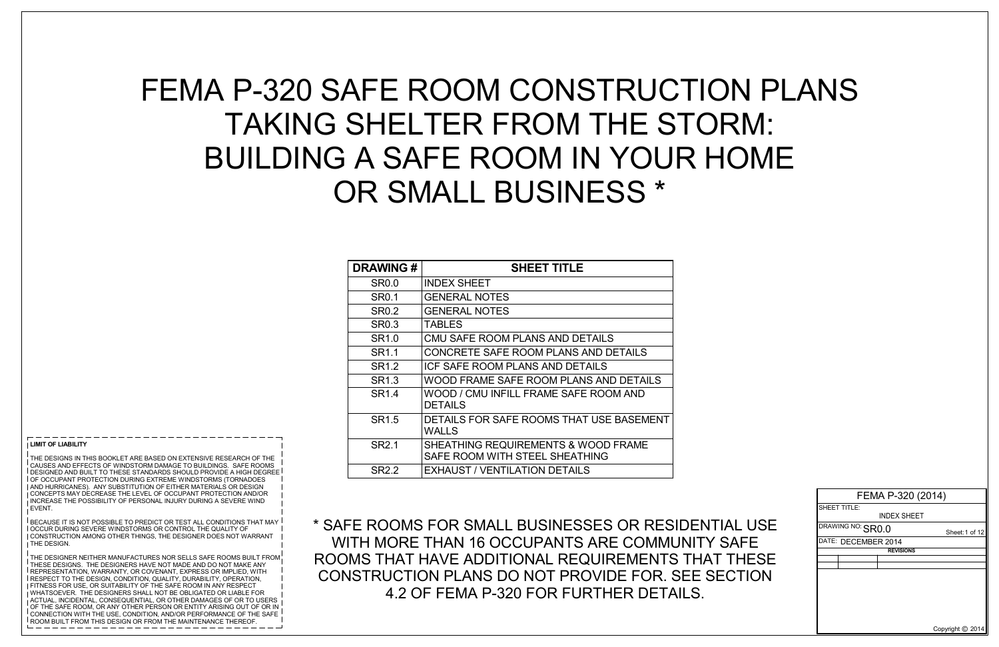#### **LIMIT OF LIABILITY**

 $\frac{1}{1}$  THE DESIGNS IN THIS BOOKLET ARE BASED ON EXTENSIVE RESEARCH OF THE CAUSES AND EFFECTS OF WINDSTORM DAMAGE TO BUILDINGS. SAFE ROOMS DESIGNED AND BUILT TO THESE STANDARDS SHOULD PROVIDE A HIGH DEGREE OF OCCUPANT PROTECTION DURING EXTREME WINDSTORMS (TORNADOES AND HURRICANES). ANY SUBSTITUTION OF EITHER MATERIALS OR DESIGN CONCEPTS MAY DECREASE THE LEVEL OF OCCUPANT PROTECTION AND/OR INCREASE THE POSSIBILITY OF PERSONAL INJURY DURING A SEVERE WIND EVENT.

 $^{\mid}$  BECAUSE IT IS NOT POSSIBLE TO PREDICT OR TEST ALL CONDITIONS THAT MAY OCCUR DURING SEVERE WINDSTORMS OR CONTROL THE QUALITY OF CONSTRUCTION AMONG OTHER THINGS, THE DESIGNER DOES NOT WARRANT **THE DESIGN** 

THE DESIGNER NEITHER MANUFACTURES NOR SELLS SAFE ROOMS BUILT FROM THESE DESIGNS. THE DESIGNERS HAVE NOT MADE AND DO NOT MAKE ANY REPRESENTATION, WARRANTY, OR COVENANT, EXPRESS OR IMPLIED, WITH RESPECT TO THE DESIGN, CONDITION, QUALITY, DURABILITY, OPERATION, FITNESS FOR USE, OR SUITABILITY OF THE SAFE ROOM IN ANY RESPECT WHATSOEVER. THE DESIGNERS SHALL NOT BE OBLIGATED OR LIABLE FOR ACTUAL, INCIDENTAL, CONSEQUENTIAL, OR OTHER DAMAGES OF OR TO USERS OF THE SAFE ROOM, OR ANY OTHER PERSON OR ENTITY ARISING OUT OF OR IN  $^\mathrm{I}$  CONNECTION WITH THE USE, CONDITION, AND/OR PERFORMANCE OF THE SAFE ROOM BUILT FROM THIS DESIGN OR FROM THE MAINTENANCE THEREOF.

# FEMA P-320 SAFE ROOM CONSTRUCTION PLANS TAKING SHELTER FROM THE STORM: BUILDING A SAFE ROOM IN YOUR HOME OR SMALL BUSINESS \*



| <b>DRAWING#</b>   | <b>SHEET TITLE</b>                                                    |
|-------------------|-----------------------------------------------------------------------|
| <b>SR0.0</b>      | <b>INDEX SHEET</b>                                                    |
| <b>SR0.1</b>      | <b>GENERAL NOTES</b>                                                  |
| <b>SR0.2</b>      | <b>GENERAL NOTES</b>                                                  |
| <b>SR0.3</b>      | <b>TABLES</b>                                                         |
| SR <sub>1.0</sub> | CMU SAFE ROOM PLANS AND DETAILS                                       |
| SR <sub>1.1</sub> | CONCRETE SAFE ROOM PLANS AND DETAILS                                  |
| SR <sub>1.2</sub> | ICF SAFE ROOM PLANS AND DETAILS                                       |
| SR <sub>1.3</sub> | WOOD FRAME SAFE ROOM PLANS AND DETAILS                                |
| SR <sub>1.4</sub> | WOOD / CMU INFILL FRAME SAFE ROOM AND<br><b>DETAILS</b>               |
| SR <sub>1.5</sub> | DETAILS FOR SAFE ROOMS THAT USE BASEMENT<br><b>WALLS</b>              |
| SR <sub>2.1</sub> | SHEATHING REQUIREMENTS & WOOD FRAME<br>SAFE ROOM WITH STEEL SHEATHING |
| <b>SR2.2</b>      | <b>EXHAUST / VENTILATION DETAILS</b>                                  |

\* SAFE ROOMS FOR SMALL BUSINESSES OR RESIDENTIAL USE WITH MORE THAN 16 OCCUPANTS ARE COMMUNITY SAFE ROOMS THAT HAVE ADDITIONAL REQUIREMENTS THAT THESE CONSTRUCTION PLANS DO NOT PROVIDE FOR. SEE SECTION 4.2 OF FEMA P-320 FOR FURTHER DETAILS.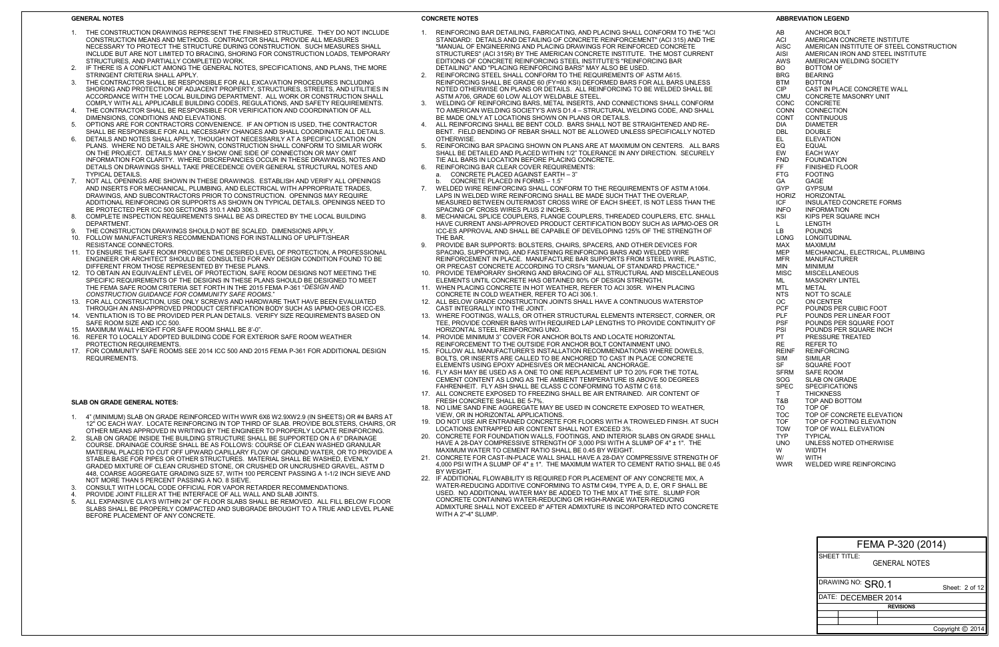#### **GENERAL NOTES**

- 1. REINFORCING BAR DETAILING, FABRICATING, AND PLACING SHALL CONFORM TO THE "ACI STANDARD: DETAILS AND DETAILING OF CONCRETE REINFORCEMENT" (ACI 315) AND THE "MANUAL OF ENGINEERING AND PLACING DRAWINGS FOR REINFORCED CONCRETE STRUCTURES" (ACI 315R) BY THE AMERICAN CONCRETE INSTITUTE. THE MOST CURRENT EDITIONS OF CONCRETE REINFORCING STEEL INSTITUTE'S "REINFORCING BAR DETAILING" AND "PLACING REINFORCING BARS" MAY ALSO BE USED.
- 2. REINFORCING STEEL SHALL CONFORM TO THE REQUIREMENTS OF ASTM A615. REINFORCING SHALL BE GRADE 60 (FY=60 KSI) DEFORMED BARS FOR ALL BARS UNLESS NOTED OTHERWISE ON PLANS OR DETAILS. ALL REINFORCING TO BE WELDED SHALL BE ASTM A706, GRADE 60 LOW ALLOY WELDABLE STEEL.
- 3. WELDING OF REINFORCING BARS, METAL INSERTS, AND CONNECTIONS SHALL CONFORM TO AMERICAN WELDING SOCIETY'S AWS D1.4 – STRUCTURAL WELDING CODE, AND SHALL BE MADE ONLY AT LOCATIONS SHOWN ON PLANS OR DETAILS.
- 4. ALL REINFORCING SHALL BE BENT COLD. BARS SHALL NOT BE STRAIGHTENED AND RE-BENT. FIELD BENDING OF REBAR SHALL NOT BE ALLOWED UNLESS SPECIFICALLY NOTED **OTHERWISE**
- 5. REINFORCING BAR SPACING SHOWN ON PLANS ARE AT MAXIMUM ON CENTERS. ALL BARS SHALL BE DETAILED AND PLACED WITHIN 1/2" TOLERANCE IN ANY DIRECTION. SECURELY TIE ALL BARS IN LOCATION BEFORE PLACING CONCRETE.
- 6. REINFORCING BAR CLEAR COVER REQUIREMENTS:
	- CONCRETE PLACED AGAINST EARTH 3"
	- b. CONCRETE PLACED IN FORMS 1.5"
- 7. WELDED WIRE REINFORCING SHALL CONFORM TO THE REQUIREMENTS OF ASTM A1064. LAPS IN WELDED WIRE REINFORCING SHALL BE MADE SUCH THAT THE OVERLAP, MEASURED BETWEEN OUTERMOST CROSS WIRE OF EACH SHEET, IS NOT LESS THAN THE SPACING OF CROSS WIRES PLUS 2 INCHES.
- 8. MECHANICAL SPLICE COUPLERS, FLANGE COUPLERS, THREADED COUPLERS, ETC. SHALL HAVE CURRENT ANSI-APPROVED PRODUCT CERTIFICATION BODY SUCH AS IAPMO-OES OR ICC-ES APPROVAL AND SHALL BE CAPABLE OF DEVELOPING 125% OF THE STRENGTH OF THE BAR.
- 9. PROVIDE BAR SUPPORTS: BOLSTERS, CHAIRS, SPACERS, AND OTHER DEVICES FOR SPACING, SUPPORTING, AND FASTENING REINFORCING BARS AND WELDED WIRE REINFORCEMENT IN PLACE. MANUFACTURE BAR SUPPORTS FROM STEEL WIRE, PLASTIC, OR PRECAST CONCRETE ACCORDING TO CRSI's "MANUAL OF STANDARD PRACTICE."
- 10. PROVIDE TEMPORARY SHORING AND BRACING OF ALL STRUCTURAL AND MISCELLANEOUS ELEMENTS UNTIL CONCRETE HAS OBTAINED 80% OF DESIGN STRENGTH.
- 11. WHEN PLACING CONCRETE IN HOT WEATHER, REFER TO ACI 305R. WHEN PLACING CONCRETE IN COLD WEATHER, REFER TO ACI 306.1.
- 12. ALL BELOW GRADE CONSTRUCTION JOINTS SHALL HAVE A CONTINUOUS WATERSTOP CAST INTEGRALLY INTO THE JOINT.
- 13. WHERE FOOTINGS, WALLS, OR OTHER STRUCTURAL ELEMENTS INTERSECT, CORNER, OR TEE, PROVIDE CORNER BARS WITH REQUIRED LAP LENGTHS TO PROVIDE CONTINUITY OF HORIZONTAL STEEL REINFORCING UNO.
- 14. PROVIDE MINIMUM 3" COVER FOR ANCHOR BOLTS AND LOCATE HORIZONTAL REINFORCEMENT TO THE OUTSIDE FOR ANCHOR BOLT CONTAINMENT UNO.
- 15. FOLLOW ALL MANUFACTURER'S INSTALLATION RECOMMENDATIONS WHERE DOWELS, BOLTS, OR INSERTS ARE CALLED TO BE ANCHORED TO CAST IN PLACE CONCRETE ELEMENTS USING EPOXY ADHESIVES OR MECHANICAL ANCHORAGE.
- 16. FLY ASH MAY BE USED AS A ONE TO ONE REPLACEMENT UP TO 20% FOR THE TOTAL CEMENT CONTENT AS LONG AS THE AMBIENT TEMPERATURE IS ABOVE 50 DEGREES FAHRENHEIT. FLY ASH SHALL BE CLASS C CONFORMING TO ASTM C 618.
- 17. ALL CONCRETE EXPOSED TO FREEZING SHALL BE AIR ENTRAINED. AIR CONTENT OF FRESH CONCRETE SHALL BE 5-7%.
- 18. NO LIME SAND FINE AGGREGATE MAY BE USED IN CONCRETE EXPOSED TO WEATHER, VIEW, OR IN HORIZONTAL APPLICATIONS.
- 19. DO NOT USE AIR ENTRAINED CONCRETE FOR FLOORS WITH A TROWELED FINISH. AT SUCH LOCATIONS ENTRAPPED AIR CONTENT SHALL NOT EXCEED 3%.
- 20. CONCRETE FOR FOUNDATION WALLS, FOOTINGS, AND INTERIOR SLABS ON GRADE SHALL HAVE A 28-DAY COMPRESSIVE STRENGTH OF 3,000 PSI WITH A SLUMP OF 4" ± 1". THE MAXIMUM WATER TO CEMENT RATIO SHALL BE 0.45 BY WEIGHT.
- 21. CONCRETE FOR CAST-IN-PLACE WALL SHALL HAVE A 28-DAY COMPRESSIVE STRENGTH OF 4,000 PSI WITH A SLUMP OF 4" ± 1". THE MAXIMUM WATER TO CEMENT RATIO SHALL BE 0.45 BY WEIGHT.
- 22. IF ADDITIONAL FLOWABILITY IS REQUIRED FOR PLACEMENT OF ANY CONCRETE MIX, A WATER-REDUCING ADDITIVE CONFORMING TO ASTM C494, TYPE A, D, E, OR F SHALL BE USED. NO ADDITIONAL WATER MAY BE ADDED TO THE MIX AT THE SITE. SLUMP FOR CONCRETE CONTAINING WATER-REDUCING OR HIGH-RANGE WATER-REDUCING ADMIXTURE SHALL NOT EXCEED 8" AFTER ADMIXTURE IS INCORPORATED INTO CONCRETE WITH A 2"-4" SLUMP
- 1. THE CONSTRUCTION DRAWINGS REPRESENT THE FINISHED STRUCTURE. THEY DO NOT INCLUDE CONSTRUCTION MEANS AND METHODS. CONTRACTOR SHALL PROVIDE ALL MEASURES NECESSARY TO PROTECT THE STRUCTURE DURING CONSTRUCTION. SUCH MEASURES SHALL INCLUDE BUT ARE NOT LIMITED TO BRACING, SHORING FOR CONSTRUCTION LOADS, TEMPORARY STRUCTURES, AND PARTIALLY COMPLETED WORK.
- 2. IF THERE IS A CONFLICT AMONG THE GENERAL NOTES, SPECIFICATIONS, AND PLANS, THE MORE STRINGENT CRITERIA SHALL APPLY.
- 3. THE CONTRACTOR SHALL BE RESPONSIBLE FOR ALL EXCAVATION PROCEDURES INCLUDING SHORING AND PROTECTION OF ADJACENT PROPERTY, STRUCTURES, STREETS, AND UTILITIES IN ACCORDANCE WITH THE LOCAL BUILDING DEPARTMENT. ALL WORK OR CONSTRUCTION SHALL COMPLY WITH ALL APPLICABLE BUILDING CODES, REGULATIONS, AND SAFETY REQUIREMENTS.
- 4. THE CONTRACTOR SHALL BE RESPONSIBLE FOR VERIFICATION AND COORDINATION OF ALL DIMENSIONS, CONDITIONS AND ELEVATIONS.
- 5. OPTIONS ARE FOR CONTRACTORS CONVENIENCE. IF AN OPTION IS USED, THE CONTRACTOR SHALL BE RESPONSIBLE FOR ALL NECESSARY CHANGES AND SHALL COORDINATE ALL DETAILS.
- 6. DETAILS AND NOTES SHALL APPLY, THOUGH NOT NECESSARILY AT A SPECIFIC LOCATION ON PLANS. WHERE NO DETAILS ARE SHOWN, CONSTRUCTION SHALL CONFORM TO SIMILAR WORK ON THE PROJECT. DETAILS MAY ONLY SHOW ONE SIDE OF CONNECTION OR MAY OMIT INFORMATION FOR CLARITY. WHERE DISCREPANCIES OCCUR IN THESE DRAWINGS, NOTES AND DETAILS ON DRAWINGS SHALL TAKE PRECEDENCE OVER GENERAL STRUCTURAL NOTES AND TYPICAL DETAILS.
- 7. NOT ALL OPENINGS ARE SHOWN IN THESE DRAWINGS. ESTABLISH AND VERIFY ALL OPENINGS AND INSERTS FOR MECHANICAL, PLUMBING, AND ELECTRICAL WITH APPROPRIATE TRADES, DRAWINGS, AND SUBCONTRACTORS PRIOR TO CONSTRUCTION. OPENINGS MAY REQUIRE ADDITIONAL REINFORCING OR SUPPORTS AS SHOWN ON TYPICAL DETAILS. OPENINGS NEED TO BE PROTECTED PER ICC 500 SECTIONS 310.1 AND 306.3.
- 8. COMPLETE INSPECTION REQUIREMENTS SHALL BE AS DIRECTED BY THE LOCAL BUILDING **DEPARTMENT**
- 9. THE CONSTRUCTION DRAWINGS SHOULD NOT BE SCALED. DIMENSIONS APPLY.<br>10. EQUI OW MANUEACTURER'S RECOMMENDATIONS FOR INSTALLING OF UPLIET/SH
- 10. FOLLOW MANUFACTURER'S RECOMMENDATIONS FOR INSTALLING OF UPLIFT/SHEAR RESISTANCE CONNECTORS.
- 11. TO ENSURE THE SAFE ROOM PROVIDES THE DESIRED LEVEL OF PROTECTION, A PROFESSIONAL ENGINEER OR ARCHITECT SHOULD BE CONSULTED FOR ANY DESIGN CONDITION FOUND TO BE DIFFERENT FROM THOSE REPRESENTED BY THESE PLANS.
- 12. TO OBTAIN AN EQUIVALENT LEVEL OF PROTECTION, SAFE ROOM DESIGNS NOT MEETING THE SPECIFIC REQUIREMENTS OF THE DESIGNS IN THESE PLANS SHOULD BE DESIGNED TO MEET THE FEMA SAFE ROOM CRITERIA SET FORTH IN THE 2015 FEMA P-361 "*DESIGN AND CONSTRUCTION GUIDANCE FOR COMMUNITY SAFE ROOMS*."
- 13. FOR ALL CONSTRUCTION, USE ONLY SCREWS AND HARDWARE THAT HAVE BEEN EVALUATED THROUGH AN ANSI-APPROVED PRODUCT CERTIFICATION BODY SUCH AS IAPMO-OES OR ICC-ES.
- 14. VENTILATION IS TO BE PROVIDED PER PLAN DETAILS. VERIFY SIZE REQUIREMENTS BASED ON SAFE ROOM SIZE AND ICC 500.
- 15. MAXIMUM WALL HEIGHT FOR SAFE ROOM SHALL BE 8'-0".
- 16. REFER TO LOCALLY ADOPTED BUILDING CODE FOR EXTERIOR SAFE ROOM WEATHER PROTECTION REQUIREMENTS.
- 17. FOR COMMUNITY SAFE ROOMS SEE 2014 ICC 500 AND 2015 FEMA P-361 FOR ADDITIONAL DESIGN REQUIREMENTS.

### **CONCRETE NOTES**

|                     | FEMA P-320 (2014) |                  |                  |
|---------------------|-------------------|------------------|------------------|
| <b>SHEET TITLE:</b> | GENERAL NOTES     |                  |                  |
| DRAWING NO: SR0.1   |                   |                  | Sheet: $2$ of 12 |
| DATE: DECEMBER 2014 |                   |                  |                  |
|                     | <b>REVISIONS</b>  |                  |                  |
|                     |                   |                  |                  |
|                     |                   |                  |                  |
|                     |                   | Copyright C 2014 |                  |

#### **ABBREVIATION LEGEND**

| AΒ                 | <b>ANCHOR BOLT</b>                                                            |
|--------------------|-------------------------------------------------------------------------------|
| ACI                | AMERICAN CONCRETE INSTITUTE                                                   |
| AISC<br>AISI       | AMERICAN INSTITUTE OF STEEL CONSTRUCTION<br>AMERICAN IRON AND STEEL INSTITUTE |
| AWS                | AMERICAN WELDING SOCIETY                                                      |
| BO                 | <b>BOTTOM OF</b>                                                              |
| <b>BRG</b>         | <b>BEARING</b>                                                                |
| BTM                | <b>BOTTOM</b>                                                                 |
| <b>CIP</b>         | CAST IN PLACE CONCRETE WALL                                                   |
| CMU                | <b>CONCRETE MASONRY UNIT</b>                                                  |
| CONC               | CONCRETE                                                                      |
| CONN<br>CONT       | CONNECTION<br><b>CONTINUOUS</b>                                               |
| DIA                | <b>DIAMETER</b>                                                               |
| DBL.               | <b>DOUBLE</b>                                                                 |
| EL                 | <b>ELEVATION</b>                                                              |
| EQ                 | <b>EQUAL</b>                                                                  |
| EW                 | <b>EACH WAY</b>                                                               |
| FND<br>FF          | <b>FOUNDATION</b>                                                             |
| FTG                | <b>FINISHED FLOOR</b><br><b>FOOTING</b>                                       |
| GA                 | GAGE                                                                          |
| GYP.               | <b>GYPSUM</b>                                                                 |
| HORIZ              | <b>HORIZONTAL</b>                                                             |
| ICF                | <b>INSULATED CONCRETE FORMS</b>                                               |
| <b>INFO</b>        | <b>INFORMATION</b>                                                            |
| KSI<br>L.          | KIPS PER SQUARE INCH<br>LENGTH                                                |
| LВ                 | <b>POUNDS</b>                                                                 |
| LONG               | LONGITUDINAL                                                                  |
| MAX                | <b>MAXIMUM</b>                                                                |
| MEP                | MECHANICAL, ELECTRICAL, PLUMBING                                              |
| MFR                | <b>MANUFACTURER</b>                                                           |
| MIN.               | <b>MINIMUM</b>                                                                |
| MISC<br>ML         | <b>MISCELLANEOUS</b><br><b>MASONRY LINTEL</b>                                 |
| MTL.               | <b>METAL</b>                                                                  |
| NTS                | <b>NOT TO SCALE</b>                                                           |
| OС                 | ON CENTER                                                                     |
| PCF                | POUNDS PER CUBIC FOOT                                                         |
| <b>PLF</b>         | POUNDS PER LINEAR FOOT                                                        |
| <b>PSF</b><br>PSI  | POUNDS PER SQUARE FOOT<br>POUNDS PER SQUARE INCH                              |
| PT                 | PRESSURE TREATED                                                              |
| RE                 | <b>REFER TO</b>                                                               |
| <b>REINF</b>       | <b>REINFORCING</b>                                                            |
| SIM                | <b>SIMILAR</b>                                                                |
| SF                 | SQUARE FOOT                                                                   |
| SFRM<br>SOG        | SAFE ROOM                                                                     |
| <b>SPEC</b>        | SLAB ON GRADE<br><b>SPECIFICATIONS</b>                                        |
| T.                 | THICKNESS                                                                     |
| T&B                | TOP AND BOTTOM                                                                |
| TO                 | TOP OF                                                                        |
| <b>TOC</b>         | TOP OF CONCRETE ELEVATION                                                     |
| <b>TOF</b>         | TOP OF FOOTING ELEVATION                                                      |
| <b>TOW</b><br>TYP. | TOP OF WALL ELEVATION<br><b>TYPICAL</b>                                       |
| <b>UNO</b>         | UNLESS NOTED OTHERWISE                                                        |
| W                  | WIDTH                                                                         |
| W/                 | WITH                                                                          |
| WWR                | <b>WELDED WIRE REINFORCING</b>                                                |

### **SLAB ON GRADE GENERAL NOTES:**

- 1. 4" (MINIMUM) SLAB ON GRADE REINFORCED WITH WWR 6X6 W2.9XW2.9 (IN SHEETS) OR #4 BARS AT 12" OC EACH WAY. LOCATE REINFORCING IN TOP THIRD OF SLAB. PROVIDE BOLSTERS, CHAIRS, OR OTHER MEANS APPROVED IN WRITING BY THE ENGINEER TO PROPERLY LOCATE REINFORCING.
- 2. SLAB ON GRADE INSIDE THE BUILDING STRUCTURE SHALL BE SUPPORTED ON A 6" DRAINAGE COURSE. DRAINAGE COURSE SHALL BE AS FOLLOWS: COURSE OF CLEAN WASHED GRANULAR MATERIAL PLACED TO CUT OFF UPWARD CAPILLARY FLOW OF GROUND WATER, OR TO PROVIDE A STABLE BASE FOR PIPES OR OTHER STRUCTURES. MATERIAL SHALL BE WASHED, EVENLY GRADED MIXTURE OF CLEAN CRUSHED STONE, OR CRUSHED OR UNCRUSHED GRAVEL, ASTM D 448, COARSE AGGREGATE GRADING SIZE 57, WITH 100 PERCENT PASSING A 1-1/2 INCH SIEVE AND NOT MORE THAN 5 PERCENT PASSING A NO. 8 SIEVE.
- 3. CONSULT WITH LOCAL CODE OFFICIAL FOR VAPOR RETARDER RECOMMENDATIONS.
- 4. PROVIDE JOINT FILLER AT THE INTERFACE OF ALL WALL AND SLAB JOINTS.<br>5. ALL EXPANSIVE CLAYS WITHIN 24" OF FLOOR SLABS SHALL BE REMOVED.
- ALL EXPANSIVE CLAYS WITHIN 24" OF FLOOR SLABS SHALL BE REMOVED. ALL FILL BELOW FLOOR SLABS SHALL BE PROPERLY COMPACTED AND SUBGRADE BROUGHT TO A TRUE AND LEVEL PLANE BEFORE PLACEMENT OF ANY CONCRETE.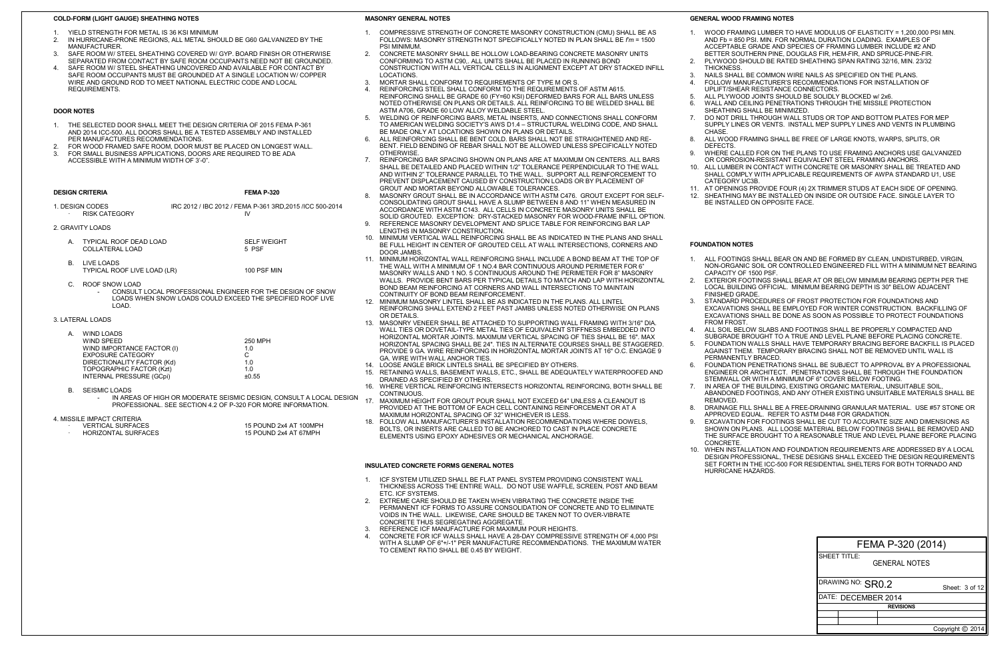#### **FOUNDATION NOTES**

1. ALL FOOTINGS SHALL BEAR ON AND BE FORMED BY CLEAN, UNDISTURBED, VIRGIN, NON-ORGANIC SOIL OR CONTROLLED ENGINEERED FILL WITH A MINIMUM NET BEARING CAPACITY OF 1500 PSF.

EXCAVATIONS SHALL BE EMPLOYED FOR WINTER CONSTRUCTION. BACKFILLING OF EXCAVATIONS SHALL BE DONE AS SOON AS POSSIBLE TO PROTECT FOUNDATIONS FROM FROST

2. EXTERIOR FOOTINGS SHALL BEAR AT OR BELOW MINIMUM BEARING DEPTH PER THE LOCAL BUILDING OFFICIAL. MINIMUM BEARING DEPTH IS 30" BELOW ADJACENT FINISHED GRADE.

3. STANDARD PROCEDURES OF FROST PROTECTION FOR FOUNDATIONS AND

9. EXCAVATION FOR FOOTINGS SHALL BE CUT TO ACCURATE SIZE AND DIMENSIONS AS SHOWN ON PLANS. ALL LOOSE MATERIAL BELOW FOOTINGS SHALL BE REMOVED AND THE SURFACE BROUGHT TO A REASONABLE TRUE AND LEVEL PLANE BEFORE PLACING **CONCRETE** 

4. ALL SOIL BELOW SLABS AND FOOTINGS SHALL BE PROPERLY COMPACTED AND SUBGRADE BROUGHT TO A TRUE AND LEVEL PLANE BEFORE PLACING CONCRETE. 5. FOUNDATION WALLS SHALL HAVE TEMPORARY BRACING BEFORE BACKFILL IS PLACED AGAINST THEM. TEMPORARY BRACING SHALL NOT BE REMOVED UNTIL WALL IS PERMANENTLY BRACED.

6. FOUNDATION PENETRATIONS SHALL BE SUBJECT TO APPROVAL BY A PROFESSIONAL ENGINEER OR ARCHITECT. PENETRATIONS SHALL BE THROUGH THE FOUNDATION STEMWALL OR WITH A MINIMUM OF 6" COVER BELOW FOOTING.

7. IN AREA OF THE BUILDING, EXISTING ORGANIC MATERIAL, UNSUITABLE SOIL, ABANDONED FOOTINGS, AND ANY OTHER EXISTING UNSUITABLE MATERIALS SHALL BE REMOVED.

8. DRAINAGE FILL SHALL BE A FREE-DRAINING GRANULAR MATERIAL. USE #57 STONE OR APPROVED EQUAL. REFER TO ASTM D448 FOR GRADATION.

10. WHEN INSTALLATION AND FOUNDATION REQUIREMENTS ARE ADDRESSED BY A LOCAL DESIGN PROFESSIONAL, THESE DESIGNS SHALL EXCEED THE DESIGN REQUIREMENTS SET FORTH IN THE ICC-500 FOR RESIDENTIAL SHELTERS FOR BOTH TORNADO AND HURRICANE HAZARDS.

#### **MASONRY GENERAL NOTES**

NAILS SHALL BE COMMON WIRE NAILS AS SPECIFIED ON THE PLANS. 4. FOLLOW MANUFACTURER'S RECOMMENDATIONS FOR INSTALLATION OF UPLIFT/SHEAR RESISTANCE CONNECTORS.

AT OPENINGS PROVIDE FOUR (4) 2X TRIMMER STUDS AT EACH SIDE OF OPENING. 12. SHEATHING MAY BE INSTALLED ON INSIDE OR OUTSIDE FACE. SINGLE LAYER TO BE INSTALLED ON OPPOSITE FACE.

- 1. COMPRESSIVE STRENGTH OF CONCRETE MASONRY CONSTRUCTION (CMU) SHALL BE AS FOLLOWS: MASONRY STRENGTH NOT SPECIFICALLY NOTED IN PLAN SHALL BE *f'm* = 1500 PSI MINIMUM
- 2. CONCRETE MASONRY SHALL BE HOLLOW LOAD-BEARING CONCRETE MASONRY UNITS CONFORMING TO ASTM C90,. ALL UNITS SHALL BE PLACED IN RUNNING BOND CONSTRUCTION WITH ALL VERTICAL CELLS IN ALIGNMENT EXCEPT AT DRY STACKED INFILL LOCATIONS.
- 3. MORTAR SHALL CONFORM TO REQUIREMENTS OF TYPE M OR S.
- 4. REINFORCING STEEL SHALL CONFORM TO THE REQUIREMENTS OF ASTM A615. REINFORCING SHALL BE GRADE 60 (FY=60 KSI) DEFORMED BARS FOR ALL BARS UNLESS NOTED OTHERWISE ON PLANS OR DETAILS. ALL REINFORCING TO BE WELDED SHALL BE ASTM A706, GRADE 60 LOW ALLOY WELDABLE STEEL.
- 5. WELDING OF REINFORCING BARS, METAL INSERTS, AND CONNECTIONS SHALL CONFORM TO AMERICAN WELDING SOCIETY'S AWS D1.4 – STRUCTURAL WELDING CODE, AND SHALL BE MADE ONLY AT LOCATIONS SHOWN ON PLANS OR DETAILS.
- 6. ALL REINFORCING SHALL BE BENT COLD. BARS SHALL NOT BE STRAIGHTENED AND RE-BENT. FIELD BENDING OF REBAR SHALL NOT BE ALLOWED UNLESS SPECIFICALLY NOTED **OTHERWISE**
- 7. REINFORCING BAR SPACING SHOWN ON PLANS ARE AT MAXIMUM ON CENTERS. ALL BARS SHALL BE DETAILED AND PLACED WITHIN 1/2" TOLERANCE PERPENDICULAR TO THE WALL AND WITHIN 2" TOLERANCE PARALLEL TO THE WALL. SUPPORT ALL REINFORCEMENT TO PREVENT DISPLACEMENT CAUSED BY CONSTRUCTION LOADS OR BY PLACEMENT OF GROUT AND MORTAR BEYOND ALLOWABLE TOLERANCES.
- 8. MASONRY GROUT SHALL BE IN ACCORDANCE WITH ASTM C476. GROUT EXCEPT FOR SELF-CONSOLIDATING GROUT SHALL HAVE A SLUMP BETWEEN 8 AND 11" WHEN MEASURED IN ACCORDANCE WITH ASTM C143. ALL CELLS IN CONCRETE MASONRY UNITS SHALL BE SOLID GROUTED. EXCEPTION: DRY-STACKED MASONRY FOR WOOD-FRAME INFILL OPTION.
- 9. REFERENCE MASONRY DEVELOPMENT AND SPLICE TABLE FOR REINFORCING BAR LAP LENGTHS IN MASONRY CONSTRUCTION.
- 10. MINIMUM VERTICAL WALL REINFORCING SHALL BE AS INDICATED IN THE PLANS AND SHALL BE FULL HEIGHT IN CENTER OF GROUTED CELL AT WALL INTERSECTIONS, CORNERS AND DOOR JAMBS.
- 11. MINIMUM HORIZONTAL WALL REINFORCING SHALL INCLUDE A BOND BEAM AT THE TOP OF THE WALL WITH A MINIMUM OF 1 NO.4 BAR CONTINUOUS AROUND PERIMETER FOR 6" MASONRY WALLS AND 1 NO. 5 CONTINUOUS AROUND THE PERIMETER FOR 8" MASONRY WALLS. PROVIDE BENT BARS PER TYPICAL DETAILS TO MATCH AND LAP WITH HORIZONTAL BOND BEAM REINFORCING AT CORNERS AND WALL INTERSECTIONS TO MAINTAIN CONTINUITY OF BOND BEAM REINFORCEMENT.
- 12. MINIMUM MASONRY LINTEL SHALL BE AS INDICATED IN THE PLANS. ALL LINTEL REINFORCING SHALL EXTEND 2 FEET PAST JAMBS UNLESS NOTED OTHERWISE ON PLANS OR DETAILS.
- 13. MASONRY VENEER SHALL BE ATTACHED TO SUPPORTING WALL FRAMING WITH 3/16" DIA. WALL TIES OR DOVETAIL-TYPE METAL TIES OF EQUIVALENT STIFFNESS EMBEDDED INTO HORIZONTAL MORTAR JOINTS. MAXIMUM VERTICAL SPACING OF TIES SHALL BE 16". MAX HORIZONTAL SPACING SHALL BE 24". TIES IN ALTERNATE COURSES SHALL BE STAGGERED. PROVIDE 9 GA. WIRE REINFORCING IN HORIZONTAL MORTAR JOINTS AT 16" O.C. ENGAGE 9 GA. WIRE WITH WALL ANCHOR TIES.
- 
- 14. LOOSE ANGLE BRICK LINTELS SHALL BE SPECIFIED BY OTHERS.<br>15. RETAINING WALLS, BASEMENT WALLS, ETC., SHALL BE ADEQUAT RETAINING WALLS, BASEMENT WALLS, ETC., SHALL BE ADEQUATELY WATERPROOFED AND DRAINED AS SPECIFIED BY OTHERS.
- 16. WHERE VERTICAL REINFORCING INTERSECTS HORIZONTAL REINFORCING, BOTH SHALL BE **CONTINUOUS**
- 17. MAXIMUM HEIGHT FOR GROUT POUR SHALL NOT EXCEED 64" UNLESS A CLEANOUT IS PROVIDED AT THE BOTTOM OF EACH CELL CONTAINING REINFORCEMENT OR AT A MAXIMUM HORIZONTAL SPACING OF 32" WHICHEVER IS LESS.
- 18. FOLLOW ALL MANUFACTURER'S INSTALLATION RECOMMENDATIONS WHERE DOWELS, BOLTS, OR INSERTS ARE CALLED TO BE ANCHORED TO CAST IN PLACE CONCRETE ELEMENTS USING EPOXY ADHESIVES OR MECHANICAL ANCHORAGE.
- 1. DESIGN CODES<br>
IRC 2012 / IBC 2012 / FEMA P-361 3RD,2015 /ICC 500-2014<br>
IV **RISK CATEGORY**
- 2. GRAVITY LOADS
	- A. TYPICAL ROOF DEAD LOAD SELF WEIGHT COLLATERAL LOAD 5 PSF
	- B. LIVE LOADS TYPICAL ROOF LIVE LOAD (LR) 100 PSF MIN
	- C. ROOF SNOW LOAD
		- CONSULT LOCAL PROFESSIONAL ENGINEER FOR THE DESIGN OF SNOW LOADS WHEN SNOW LOADS COULD EXCEED THE SPECIFIED ROOF LIVE LOAD.
- 3. LATERAL LOADS

| FEMA P-320 (2014)   |                      |  |  |                  |
|---------------------|----------------------|--|--|------------------|
| <b>SHEET TITLE:</b> | <b>GENERAL NOTES</b> |  |  |                  |
| DRAWING NO: SR0.2   |                      |  |  | Sheet: 3 of 12   |
| DATE: DECEMBER 2014 |                      |  |  |                  |
|                     | <b>REVISIONS</b>     |  |  |                  |
|                     |                      |  |  |                  |
|                     |                      |  |  |                  |
|                     |                      |  |  | Copyright © 2014 |

#### **GENERAL WOOD FRAMING NOTES**

1. WOOD FRAMING LUMBER TO HAVE MODULUS OF ELASTICITY = 1,200,000 PSI MIN. AND Fb = 850 PSI. MIN. FOR NORMAL DURATION LOADING. EXAMPLES OF ACCEPTABLE GRADE AND SPECIES OF FRAMING LUMBER INCLUDE #2 AND BETTER SOUTHERN PINE, DOUGLAS FIR, HEM-FIR, AND SPRUCE-PINE-FIR. 2. PLYWOOD SHOULD BE RATED SHEATHING SPAN RATING 32/16, MIN. 23/32

- 
- THICKNESS.

**CHASE** 

- 
- 

5. ALL PLYWOOD JOINTS SHOULD BE SOLIDLY BLOCKED w/ 2x6.

6. WALL AND CEILING PENETRATIONS THROUGH THE MISSILE PROTECTION SHEATHING SHALL BE MINIMIZED.

7. DO NOT DRILL THROUGH WALL STUDS OR TOP AND BOTTOM PLATES FOR MEP SUPPLY LINES OR VENTS. INSTALL MEP SUPPLY LINES AND VENTS IN PLUMBING

8. ALL WOOD FRAMING SHALL BE FREE OF LARGE KNOTS, WARPS, SPLITS, OR DEFECTS.

9. WHERE CALLED FOR ON THE PLANS TO USE FRAMING ANCHORS USE GALVANIZED OR CORROSION-RESISTANT EQUIVALENT STEEL FRAMING ANCHORS. 10. ALL LUMBER IN CONTACT WITH CONCRETE OR MASONRY SHALL BE TREATED AND SHALL COMPLY WITH APPLICABLE REQUIREMENTS OF AWPA STANDARD U1, USE CATEGORY UC3B.

#### **COLD-FORM (LIGHT GAUGE) SHEATHING NOTES**

- 1. YIELD STRENGTH FOR METAL IS 36 KSI MINIMUM
- 2. IN HURRICANE-PRONE REGIONS, ALL METAL SHOULD BE G60 GALVANIZED BY THE MANUFACTURER.
- 3. SAFE ROOM W/ STEEL SHEATHING COVERED W/ GYP. BOARD FINISH OR OTHERWISE SEPARATED FROM CONTACT BY SAFE ROOM OCCUPANTS NEED NOT BE GROUNDED. 4. SAFE ROOM W/ STEEL SHEATHING UNCOVERED AND AVAILABLE FOR CONTACT BY
- SAFE ROOM OCCUPANTS MUST BE GROUNDED AT A SINGLE LOCATION W/ COPPER WIRE AND GROUND ROD TO MEET NATIONAL ELECTRIC CODE AND LOCAL REQUIREMENTS.

#### **DESIGN CRITERIA FEMA P-320**

| А. | WIND LOADS                      |         |
|----|---------------------------------|---------|
|    | WIND SPEED                      | 250 MPH |
|    | WIND IMPORTANCE FACTOR (I)      | 1.0     |
|    | <b>EXPOSURE CATEGORY</b>        | С       |
|    | DIRECTIONALITY FACTOR (Kd)      | 1.0     |
|    | TOPOGRAPHIC FACTOR (Kzt)        | 1.0     |
|    | <b>INTERNAL PRESSURE (GCpi)</b> | ±0.55   |
|    |                                 |         |

- B. SEISMIC LOADS
	- IN AREAS OF HIGH OR MODERATE SEISMIC DESIGN, CONSULT A LOCAL DESIGN PROFESSIONAL. SEE SECTION 4.2 OF P-320 FOR MORE INFORMATION.

15 POUND 2x4 AT 100MPH<br>15 POUND 2x4 AT 67MPH

4. MISSILE IMPACT CRITERIA

- 
- **HORIZONTAL SURFACES**

#### **DOOR NOTES**

- 1. THE SELECTED DOOR SHALL MEET THE DESIGN CRITERIA OF 2015 FEMA P-361 AND 2014 ICC-500. ALL DOORS SHALL BE A TESTED ASSEMBLY AND INSTALLED PER MANUFACTURES RECOMMENDATIONS.
- FOR WOOD FRAMED SAFE ROOM, DOOR MUST BE PLACED ON LONGEST WALL. 3. FOR SMALL BUSINESS APPLICATIONS, DOORS ARE REQUIRED TO BE ADA
- ACCESSIBLE WITH A MINIMUM WIDTH OF 3'-0".

#### **INSULATED CONCRETE FORMS GENERAL NOTES**

- 1. ICF SYSTEM UTILIZED SHALL BE FLAT PANEL SYSTEM PROVIDING CONSISTENT WALL THICKNESS ACROSS THE ENTIRE WALL. DO NOT USE WAFFLE, SCREEN, POST AND BEAM ETC. ICF SYSTEMS.
- 2. EXTREME CARE SHOULD BE TAKEN WHEN VIBRATING THE CONCRETE INSIDE THE PERMANENT ICF FORMS TO ASSURE CONSOLIDATION OF CONCRETE AND TO ELIMINATE VOIDS IN THE WALL. LIKEWISE, CARE SHOULD BE TAKEN NOT TO OVER-VIBRATE CONCRETE THUS SEGREGATING AGGREGATE.
- 3. REFERENCE ICF MANUFACTURE FOR MAXIMUM POUR HEIGHTS.
- 4. CONCRETE FOR ICF WALLS SHALL HAVE A 28-DAY COMPRESSIVE STRENGTH OF 4,000 PSI WITH A SLUMP OF 6"+/-1" PER MANUFACTURE RECOMMENDATIONS. THE MAXIMUM WATER TO CEMENT RATIO SHALL BE 0.45 BY WEIGHT.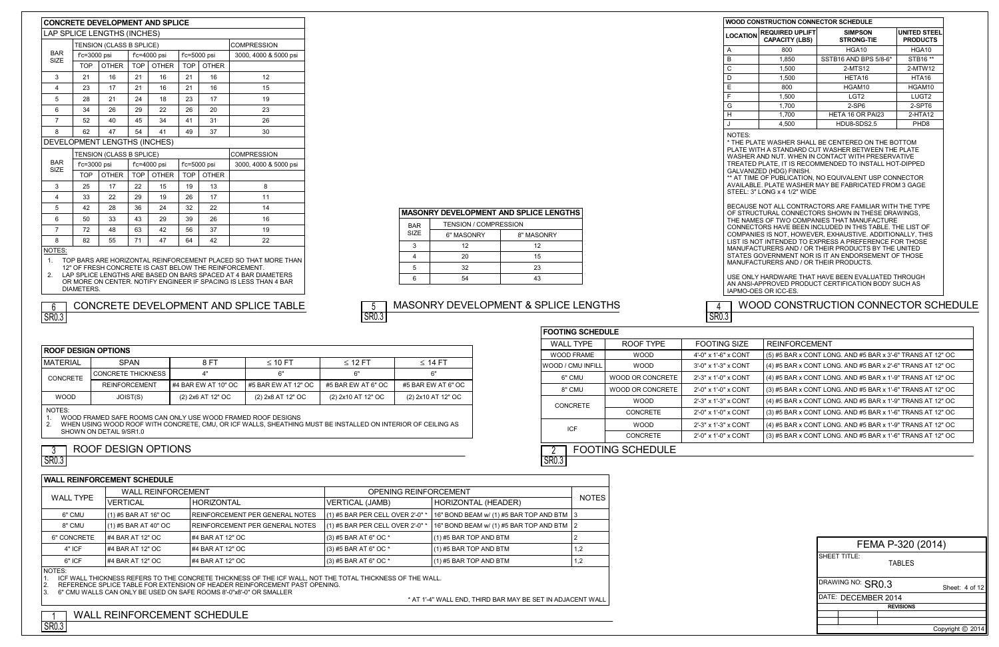|                           | <b>CONCRETE DEVELOPMENT AND SPLICE</b> |                              |            |                 |            |                 |                       |
|---------------------------|----------------------------------------|------------------------------|------------|-----------------|------------|-----------------|-----------------------|
|                           |                                        | LAP SPLICE LENGTHS (INCHES)  |            |                 |            |                 |                       |
|                           |                                        | TENSION (CLASS B SPLICE)     |            |                 |            |                 | <b>COMPRESSION</b>    |
| <b>BAR</b><br><b>SIZE</b> | f'c=3000 psi                           |                              |            | $fc = 4000$ psi |            | $fc = 5000$ psi | 3000, 4000 & 5000 psi |
|                           | <b>TOP</b>                             | <b>OTHER</b>                 | <b>TOP</b> | <b>OTHER</b>    | <b>TOP</b> | <b>OTHER</b>    |                       |
| 3                         | 21                                     | 16                           | 21         | 16              | 21         | 16              | 12                    |
| 4                         | 23                                     | 17                           | 21         | 16              | 21         | 16              | 15                    |
| 5                         | 28                                     | 21                           | 24         | 18              | 23         | 17              | 19                    |
| 6                         | 34                                     | 26                           | 29         | 22              | 26         | 20              | 23                    |
| $\overline{7}$            | 52                                     | 40                           | 45         | 34              | 41         | 31              | 26                    |
| 8                         | 62                                     | 47                           | 54         | 41              | 49         | 37              | 30                    |
|                           |                                        | DEVELOPMENT LENGTHS (INCHES) |            |                 |            |                 |                       |
|                           |                                        | TENSION (CLASS B SPLICE)     |            |                 |            |                 | <b>COMPRESSION</b>    |
| <b>BAR</b><br><b>SIZE</b> | $fc = 3000$ psi                        |                              |            | $fc = 4000$ psi |            | f'c=5000 psi    | 3000, 4000 & 5000 psi |
|                           | <b>TOP</b>                             | <b>OTHER</b>                 | <b>TOP</b> | <b>OTHER</b>    | <b>TOP</b> | <b>OTHER</b>    |                       |
| 3                         | 25                                     | 17                           | 22         | 15              | 19         | 13              | 8                     |
| 4                         | 33                                     | 22                           | 29         | 19              | 26         | 17              | 11                    |
| 5                         | 42                                     | 28                           | 36         | 24              | 32         | 22              | 14                    |
| 6                         | 50                                     | 33                           | 43         | 29              | 39         | 26              | 16                    |

#### CONCRETE MATERIAL | SPAN | 8 FT | ≤ 10 FT | ≤ 12 FT | ≤ 14 FT CONCRETE THICKNESS REINFORCEMENT 4" #4 BAR EW AT 10" OC 6" #5 BAR EW AT 12" OC 6" #5 BAR EW AT 6" OC 6" #5 BAR EW AT 6" OC WOOD JOIST(S)  $(2) 2x6 A T 12" O C$  (2)  $2x8 A T 12" O C$  (2)  $2x10 A T 12" O C$  (2)  $2x10 A T 12" O C$ NOTES:  $\leq$  10 FT  $\qquad$   $\leq$  12 FT  $\qquad$   $\leq$  14 FT

1. WOOD FRAMED SAFE ROOMS CAN ONLY USE WOOD FRAMED ROOF DESIGNS<br>2. WHEN USING WOOD ROOF WITH CONCRETE, CMU, OR ICF WALLS, SHEATHING

37

#### NOTES:

1. TOP BARS ARE HORIZONTAL REINFORCEMENT PLACED SO THAT MORE THAN 12" OF FRESH CONCRETE IS CAST BELOW THE REINFORCEMENT.

2. LAP SPLICE LENGTHS ARE BASED ON BARS SPACED AT 4 BAR DIAMETERS OR MORE ON CENTER. NOTIFY ENGINEER IF SPACING IS LESS THAN 4 BAR DIAMETERS.

6 | 50 | 33 | 43 | 29 | 39 | 26 | 16 7 | 72 | 48 | 63 | 42 | 56 | 37 | 19

63 71

8 | 82 | 55 | 71 | 47 | 64 | 42 | 22

 $\overline{\text{SR0.3}}$ 

|                   |                              | <b>MASONRY DEVELOPMENT AND SPLICE LENGTHS</b> |
|-------------------|------------------------------|-----------------------------------------------|
| <b>BAR</b>        | <b>TENSION / COMPRESSION</b> |                                               |
| SI <sub>7</sub> F | 6" MASONRY                   | 8" MASONRY                                    |
| з                 | 12                           | 12                                            |
|                   | 20                           | 15                                            |
|                   | 32                           | 23                                            |
|                   | 54                           | 43                                            |
|                   |                              |                                               |

#### CONCRETE DEVELOPMENT AND SPLICE TABLE  $\begin{bmatrix} 5 \end{bmatrix}$  MASONRY DEVELOPMENT & SPLICE LENGTHS 5 SR<sub>0.3</sub>

**ROOF DESIGN OPTIONS**

2. WHEN USING WOOD ROOF WITH CONCRETE, CMU, OR ICF WALLS, SHEATHING MUST BE INSTALLED ON INTERIOR OF CEILING AS SHOWN ON DETAIL 9/SR1.0

|                     | FEMA P-320 (2014) |
|---------------------|-------------------|
| <b>SHEET TITLE:</b> | <b>TABLES</b>     |
| DRAWING NO: SR0.3   | Sheet: 4 of 12    |
| DATE: DECEMBER 2014 |                   |
|                     | <b>REVISIONS</b>  |
|                     |                   |
|                     |                   |
|                     | Copyright © 2014  |

NOTES:

\* THE PLATE WASHER SHALL BE CENTERED ON THE BOTTOM PLATE WITH A STANDARD CUT WASHER BETWEEN THE PLATE WASHER AND NUT. WHEN IN CONTACT WITH PRESERVATIVE TREATED PLATE, IT IS RECOMMENDED TO INSTALL HOT-DIPPED GALVANIZED (HDG) FINISH.

\*\* AT TIME OF PUBLICATION, NO EQUIVALENT USP CONNECTOR AVAILABLE. PLATE WASHER MAY BE FABRICATED FROM 3 GAGE STEEL: 3" LONG x 4 1/2" WIDE

| <b>WOOD CONSTRUCTION CONNECTOR SCHEDULE</b> |                                                 |                                     |                                        |  |
|---------------------------------------------|-------------------------------------------------|-------------------------------------|----------------------------------------|--|
| <b>LOCATION</b>                             | <b>REQUIRED UPLIFT</b><br><b>CAPACITY (LBS)</b> | <b>SIMPSON</b><br><b>STRONG-TIE</b> | <b>UNITED STEEL</b><br><b>PRODUCTS</b> |  |
| A                                           | 800                                             | HGA10                               | HGA10                                  |  |
| B                                           | 1,850                                           | SSTB16 AND BPS 5/8-6*               | STB16 **                               |  |
| С                                           | 1.500                                           | 2-MTS12                             | 2-MTW12                                |  |
| D                                           | 1.500                                           | HETA16                              | HTA <sub>16</sub>                      |  |
| E                                           | 800                                             | HGAM10                              | HGAM10                                 |  |
| F                                           | 1.500                                           | LGT <sub>2</sub>                    | LUGT <sub>2</sub>                      |  |
| G                                           | 1,700                                           | $2-SP6$                             | 2-SPT6                                 |  |
| н                                           | 1,700                                           | HETA 16 OR PAI23                    | $2-HTA12$                              |  |
|                                             | 4,500                                           | HDU8-SDS2.5                         | PHD <sub>8</sub>                       |  |

|                    | <b>FOOTING SCHEDULE</b> |                      |                                                            |  |  |
|--------------------|-------------------------|----------------------|------------------------------------------------------------|--|--|
| <b>WALL TYPE</b>   | ROOF TYPE               | <b>FOOTING SIZE</b>  | <b>REINFORCEMENT</b>                                       |  |  |
| <b>WOOD FRAME</b>  | <b>WOOD</b>             | 4'-0" x 1'-6" x CONT | (5) #5 BAR x CONT LONG. AND #5 BAR x 3'-6" TRANS AT 12" OC |  |  |
| IWOOD / CMU INFILL | <b>WOOD</b>             | 3'-0" x 1'-3" x CONT | (4) #5 BAR x CONT LONG. AND #5 BAR x 2'-6" TRANS AT 12" OC |  |  |
| 6" CMU             | WOOD OR CONCRETE        | 2'-3" x 1'-0" x CONT | (4) #5 BAR x CONT LONG. AND #5 BAR x 1'-9" TRANS AT 12" OC |  |  |
| 8" CMU             | WOOD OR CONCRETE        | 2'-0" x 1'-0" x CONT | (3) #5 BAR x CONT LONG. AND #5 BAR x 1'-6" TRANS AT 12" OC |  |  |
| <b>CONCRETE</b>    | <b>WOOD</b>             | 2'-3" x 1'-3" x CONT | (4) #5 BAR x CONT LONG. AND #5 BAR x 1'-9" TRANS AT 12" OC |  |  |
|                    | <b>CONCRETE</b>         | 2'-0" x 1'-0" x CONT | (3) #5 BAR x CONT LONG. AND #5 BAR x 1'-6" TRANS AT 12" OC |  |  |
| <b>ICF</b>         | <b>WOOD</b>             | 2'-3" x 1'-3" x CONT | (4) #5 BAR x CONT LONG. AND #5 BAR x 1'-9" TRANS AT 12" OC |  |  |
|                    | <b>CONCRETE</b>         | 2'-0" x 1'-0" x CONT | (3) #5 BAR x CONT LONG. AND #5 BAR x 1'-6" TRANS AT 12" OC |  |  |
|                    | <b>FOOTING SCHEDULE</b> |                      |                                                            |  |  |

BECAUSE NOT ALL CONTRACTORS ARE FAMILIAR WITH THE TYPE OF STRUCTURAL CONNECTORS SHOWN IN THESE DRAWINGS, THE NAMES OF TWO COMPANIES THAT MANUFACTURE CONNECTORS HAVE BEEN INCLUDED IN THIS TABLE. THE LIST OF COMPANIES IS NOT, HOWEVER, EXHAUSTIVE. ADDITIONALLY, THIS LIST IS NOT INTENDED TO EXPRESS A PREFERENCE FOR THOSE MANUFACTURERS AND / OR THEIR PRODUCTS BY THE UNITED STATES GOVERNMENT NOR IS IT AN ENDORSEMENT OF THOSE MANUFACTURERS AND / OR THEIR PRODUCTS.

USE ONLY HARDWARE THAT HAVE BEEN EVALUATED THROUGH AN ANSI-APPROVED PRODUCT CERTIFICATION BODY SUCH AS IAPMO-OES OR ICC-ES.

NOTES:

ICF WALL THICKNESS REFERS TO THE CONCRETE THICKNESS OF THE ICF WALL, NOT THE TOTAL THICKNESS OF THE WALL.

2. REFERENCE SPLICE TABLE FOR EXTENSION OF HEADER REINFORCEMENT PAST OPENING.<br>3. 6" CMU WALLS CAN ONLY BE USED ON SAFE ROOMS 8'-0"x8'-0" OR SMALLER

| TIALLINLIII VINJLIIILIII VYIILUULL |                        |                                 |                                  |                                             |              |
|------------------------------------|------------------------|---------------------------------|----------------------------------|---------------------------------------------|--------------|
| <b>WALL REINFORCEMENT</b>          |                        |                                 | <b>OPENING REINFORCEMENT</b>     |                                             |              |
| <b>WALL TYPE</b>                   | <b>VERTICAL</b>        | <b>HORIZONTAL</b>               | VERTICAL (JAMB)                  | HORIZONTAL (HEADER)                         | <b>NOTES</b> |
| 6" CMU                             | $(1)$ #5 BAR AT 16" OC | REINFORCEMENT PER GENERAL NOTES | (1) #5 BAR PER CELL OVER 2'-0" * | 16" BOND BEAM w/ (1) #5 BAR TOP AND BTM   3 |              |
| 8" CMU                             | $(1)$ #5 BAR AT 40" OC | REINFORCEMENT PER GENERAL NOTES | (1) #5 BAR PER CELL OVER 2'-0" * | 16" BOND BEAM w/ (1) #5 BAR TOP AND BTM   2 |              |
| 6" CONCRETE                        | #4 BAR AT 12" OC       | #4 BAR AT 12" OC                | $(3)$ #5 BAR AT 6" OC *          | $(1)$ #5 BAR TOP AND BTM                    |              |
| 4" ICF                             | #4 BAR AT 12" OC       | #4 BAR AT 12" OC                | $(3)$ #5 BAR AT 6" OC *          | $(1)$ #5 BAR TOP AND BTM                    | 1,2          |
| 6" ICF                             | #4 BAR AT 12" OC       | #4 BAR AT 12" OC                | $(3)$ #5 BAR AT 6" OC *          | $(1)$ #5 BAR TOP AND BTM                    | 1,2          |
| $ \sim - - \sim$                   |                        |                                 |                                  |                                             |              |

3. 6" CMU WALLS CAN ONLY BE USED ON SAFE ROOMS 8'-0"x8'-0" OR SMALLER

\* AT 1'-4" WALL END, THIRD BAR MAY BE SET IN ADJACENT WALL

<u>SRU.3</u>

## 1 WALL REINFORCEMENT SCHEDULE

SR<sub>0.3</sub>

## WOOD CONSTRUCTION CONNECTOR SCHEDULE

## ROOF DESIGN OPTIONS

# SR<sub>0.3</sub>

3

## WALL REINFORCEMENT SCHEDULE

4 SR0.3

6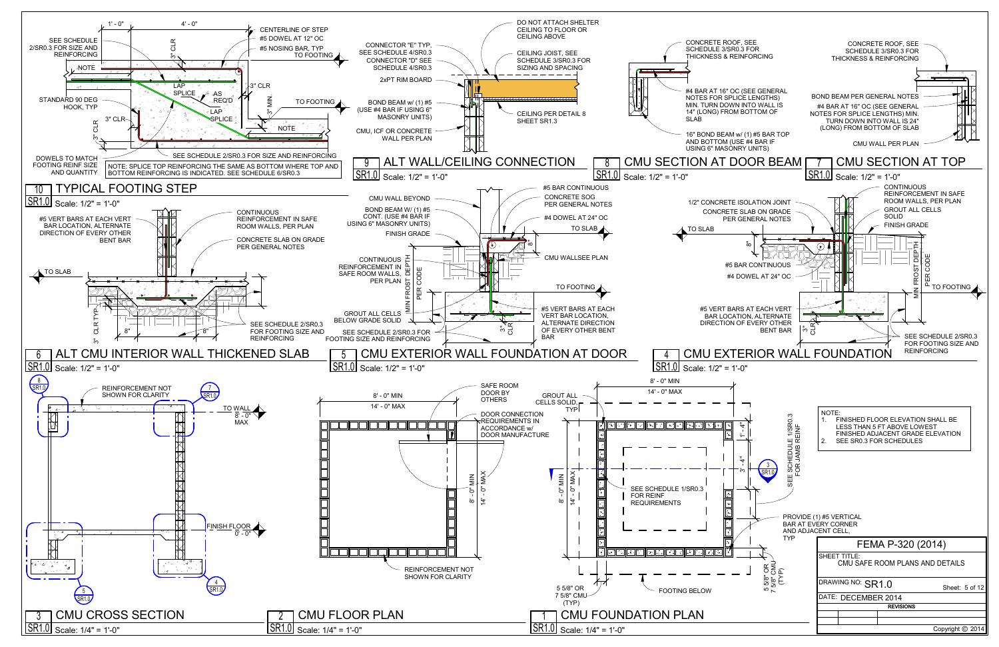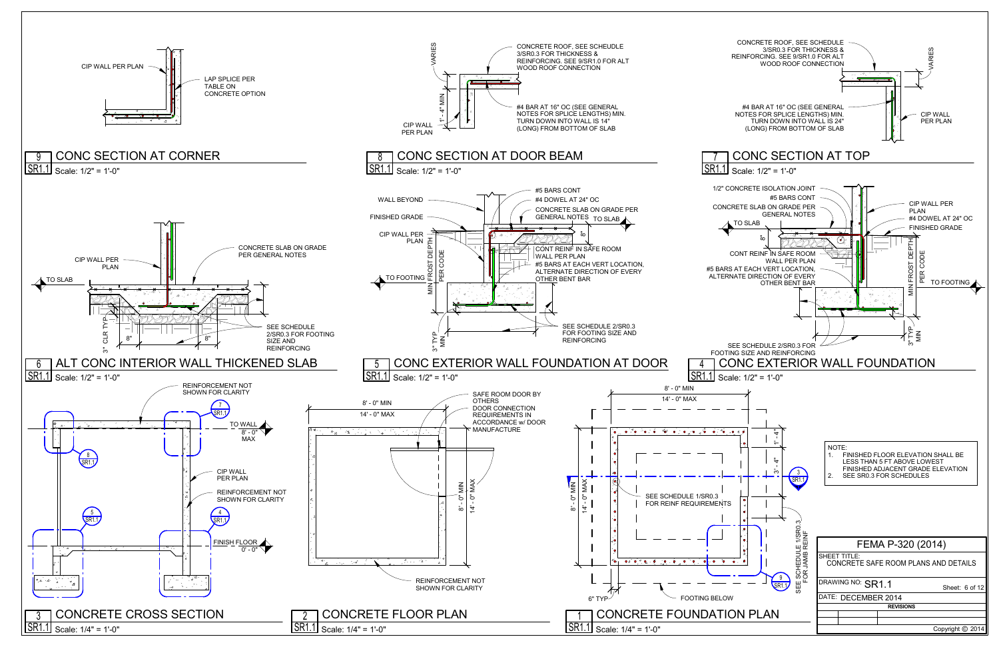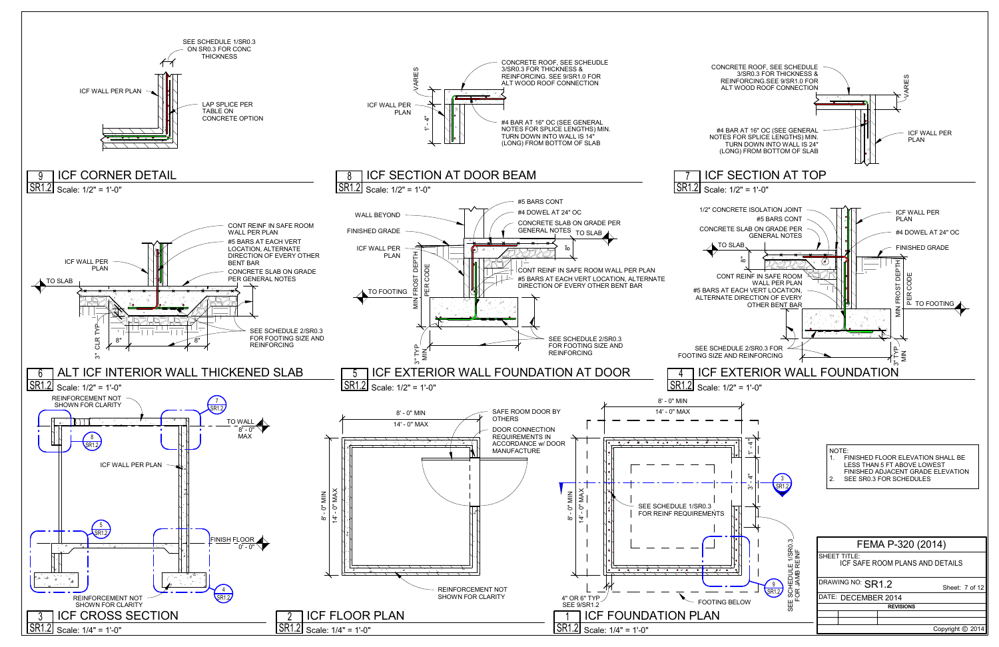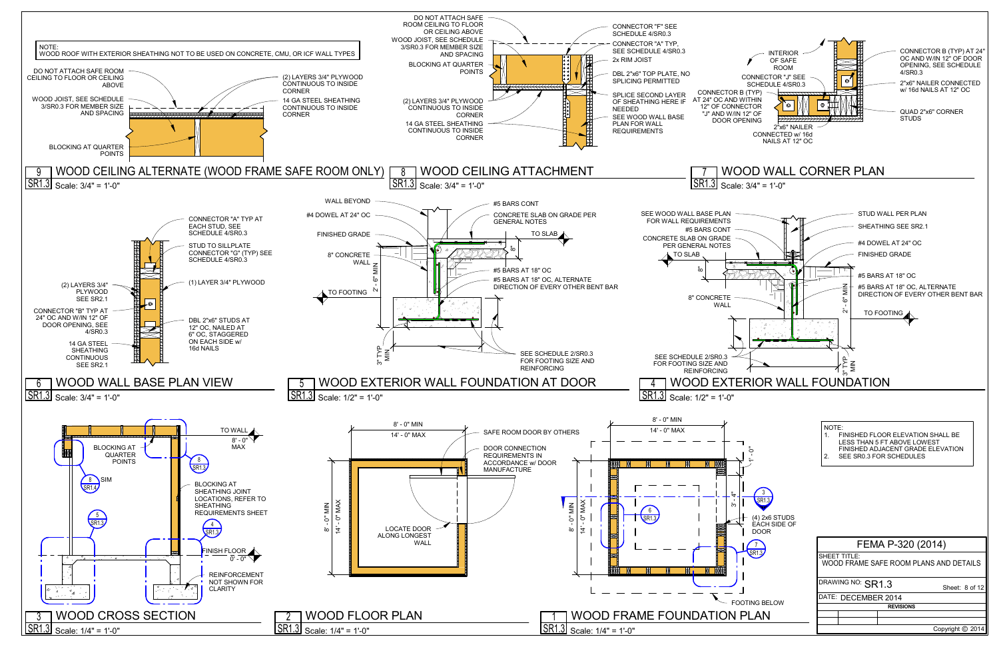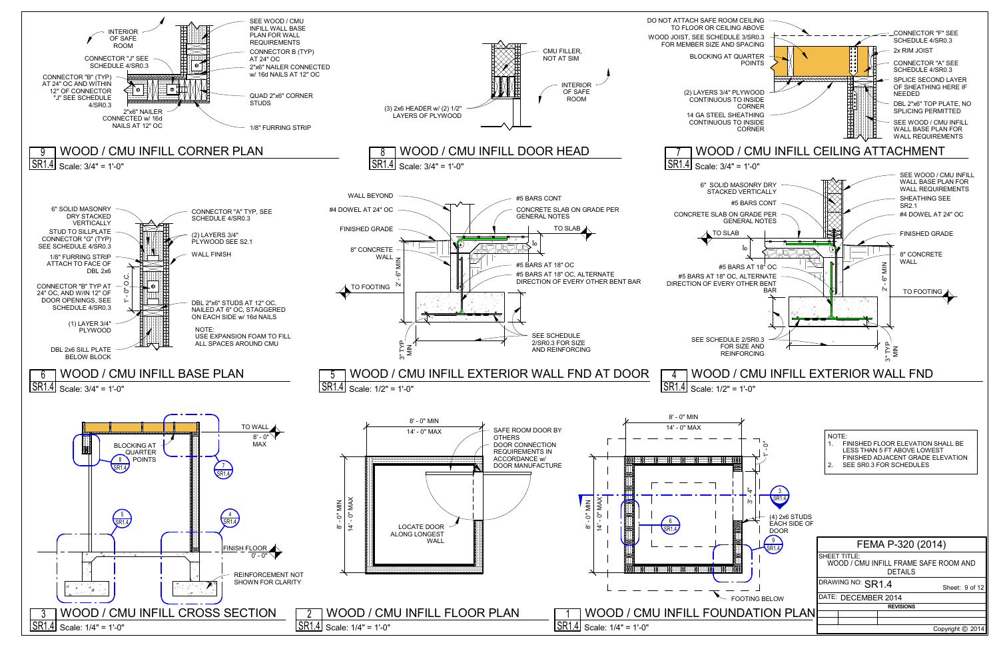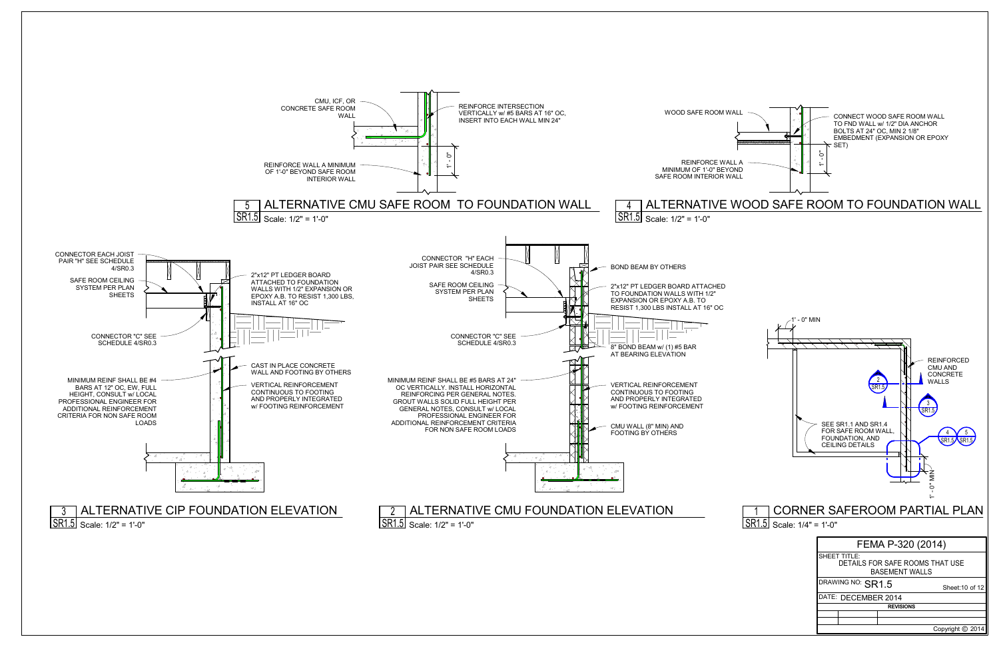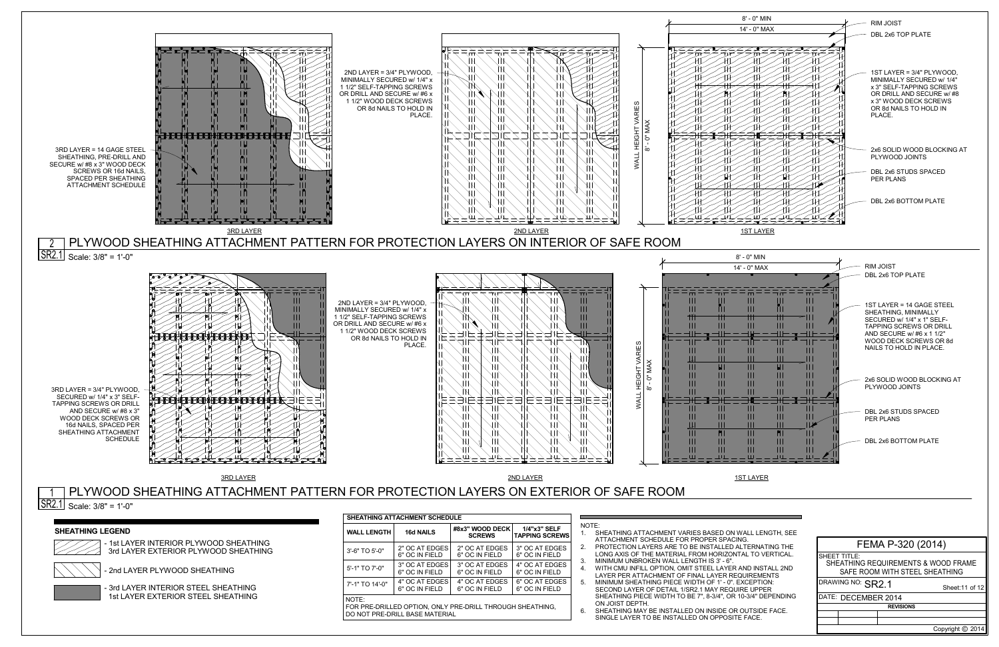